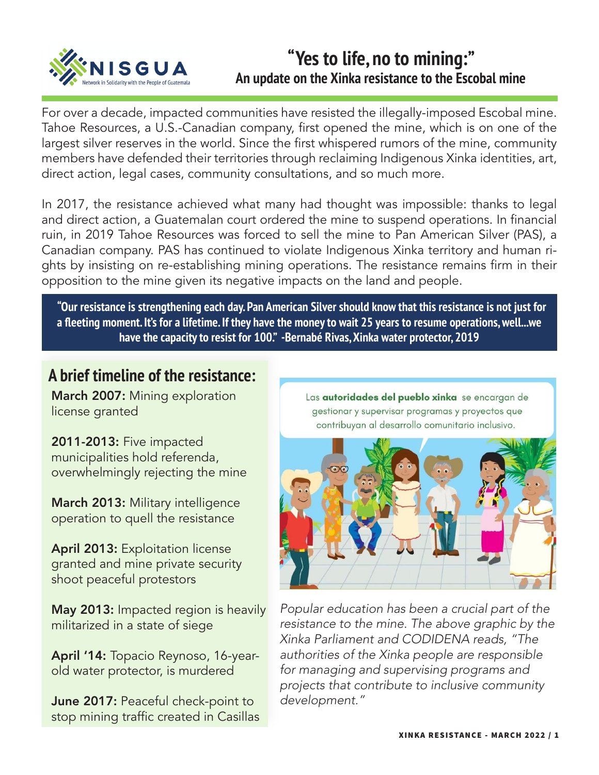

## **"Yes to life, no to mining:" An update on the Xinka resistance to the Escobal mine**

For over a decade, impacted communities have resisted the illegally-imposed Escobal mine. Tahoe Resources, a U.S.-Canadian company, first opened the mine, which is on one of the largest silver reserves in the world. Since the first whispered rumors of the mine, community members have defended their territories through reclaiming Indigenous Xinka identities, art, direct action, legal cases, community consultations, and so much more.

In 2017, the resistance achieved what many had thought was impossible: thanks to legal and direct action, a Guatemalan court ordered the mine to suspend operations. In financial ruin, in 2019 Tahoe Resources was forced to sell the mine to Pan American Silver (PAS), a Canadian company. PAS has continued to violate Indigenous Xinka territory and human rights by insisting on re-establishing mining operations. The resistance remains firm in their opposition to the mine given its negative impacts on the land and people.

**"Our resistance is strengthening each day. Pan American Silver should know that this resistance is not just for a fleeting moment. It's for a lifetime. If they have the money to wait 25 years to resume operations, well...we have the capacity to resist for 100." -Bernabé Rivas, Xinka water protector, 2019** 

## **A brief timeline of the resistance:**

March 2007: Mining exploration license granted

2011-2013: Five impacted municipalities hold referenda, overwhelmingly rejecting the mine

March 2013: Military intelligence operation to quell the resistance

April 2013: Exploitation license granted and mine private security shoot peaceful protestors

May 2013: Impacted region is heavily militarized in a state of siege

April '14: Topacio Reynoso, 16-yearold water protector, is murdered

June 2017: Peaceful check-point to stop mining traffic created in Casillas Las autoridades del pueblo xinka se encargan de gestionar y supervisar programas y proyectos que contribuyan al desarrollo comunitario inclusivo.



*Popular education has been a crucial part of the resistance to the mine. The above graphic by the Xinka Parliament and CODIDENA reads, "The authorities of the Xinka people are responsible for managing and supervising programs and projects that contribute to inclusive community development."*